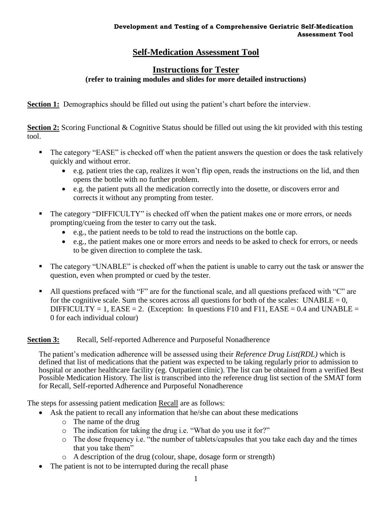# **Self-Medication Assessment Tool**

## **Instructions for Tester (refer to training modules and slides for more detailed instructions)**

**Section 1:** Demographics should be filled out using the patient's chart before the interview.

**Section 2:** Scoring Functional & Cognitive Status should be filled out using the kit provided with this testing tool.

- The category "EASE" is checked off when the patient answers the question or does the task relatively quickly and without error.
	- e.g. patient tries the cap, realizes it won't flip open, reads the instructions on the lid, and then opens the bottle with no further problem.
	- e.g. the patient puts all the medication correctly into the dosette, or discovers error and corrects it without any prompting from tester.
- The category "DIFFICULTY" is checked off when the patient makes one or more errors, or needs prompting/cueing from the tester to carry out the task.
	- e.g., the patient needs to be told to read the instructions on the bottle cap.
	- e.g., the patient makes one or more errors and needs to be asked to check for errors, or needs to be given direction to complete the task.
- The category "UNABLE" is checked off when the patient is unable to carry out the task or answer the question, even when prompted or cued by the tester.
- All questions prefaced with "F" are for the functional scale, and all questions prefaced with "C" are for the cognitive scale. Sum the scores across all questions for both of the scales:  $UNABLE = 0$ , DIFFICULTY = 1, EASE = 2. (Exception: In questions F10 and F11, EASE =  $0.4$  and UNABLE = 0 for each individual colour)

## **Section 3:** Recall, Self-reported Adherence and Purposeful Nonadherence

 The patient's medication adherence will be assessed using their *Reference Drug List(RDL)* which is defined that list of medications that the patient was expected to be taking regularly prior to admission to hospital or another healthcare facility (eg. Outpatient clinic). The list can be obtained from a verified Best Possible Medication History. The list is transcribed into the reference drug list section of the SMAT form for Recall, Self-reported Adherence and Purposeful Nonadherence

The steps for assessing patient medication Recall are as follows:

- Ask the patient to recall any information that he/she can about these medications
	- o The name of the drug
	- o The indication for taking the drug i.e. "What do you use it for?"
	- o The dose frequency i.e. "the number of tablets/capsules that you take each day and the times that you take them"
	- o A description of the drug (colour, shape, dosage form or strength)
- The patient is not to be interrupted during the recall phase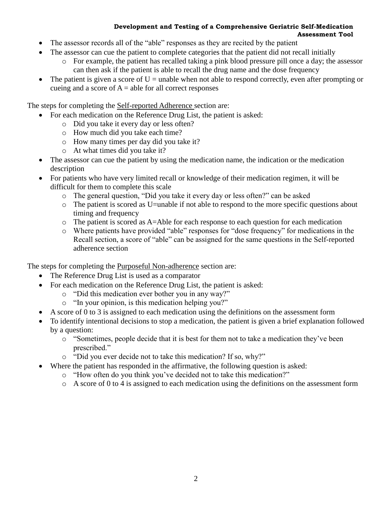#### **Development and Testing of a Comprehensive Geriatric Self-Medication Assessment Tool**

- The assessor records all of the "able" responses as they are recited by the patient
- The assessor can cue the patient to complete categories that the patient did not recall initially
	- o For example, the patient has recalled taking a pink blood pressure pill once a day; the assessor can then ask if the patient is able to recall the drug name and the dose frequency
- The patient is given a score of  $U =$  unable when not able to respond correctly, even after prompting or cueing and a score of  $A =$  able for all correct responses

The steps for completing the Self-reported Adherence section are:

- For each medication on the Reference Drug List, the patient is asked:
	- o Did you take it every day or less often?
	- o How much did you take each time?
	- o How many times per day did you take it?
	- o At what times did you take it?
- The assessor can cue the patient by using the medication name, the indication or the medication description
- For patients who have very limited recall or knowledge of their medication regimen, it will be difficult for them to complete this scale
	- o The general question, "Did you take it every day or less often?" can be asked
	- o The patient is scored as U=unable if not able to respond to the more specific questions about timing and frequency
	- o The patient is scored as A=Able for each response to each question for each medication
	- o Where patients have provided "able" responses for "dose frequency" for medications in the Recall section, a score of "able" can be assigned for the same questions in the Self-reported adherence section

The steps for completing the **Purposeful Non-adherence** section are:

- The Reference Drug List is used as a comparator
- For each medication on the Reference Drug List, the patient is asked:
	- o "Did this medication ever bother you in any way?"
	- o "In your opinion, is this medication helping you?"
- A score of 0 to 3 is assigned to each medication using the definitions on the assessment form
- To identify intentional decisions to stop a medication, the patient is given a brief explanation followed by a question:
	- o "Sometimes, people decide that it is best for them not to take a medication they've been prescribed."
	- o "Did you ever decide not to take this medication? If so, why?"
- Where the patient has responded in the affirmative, the following question is asked:
	- o "How often do you think you've decided not to take this medication?"
	- o A score of 0 to 4 is assigned to each medication using the definitions on the assessment form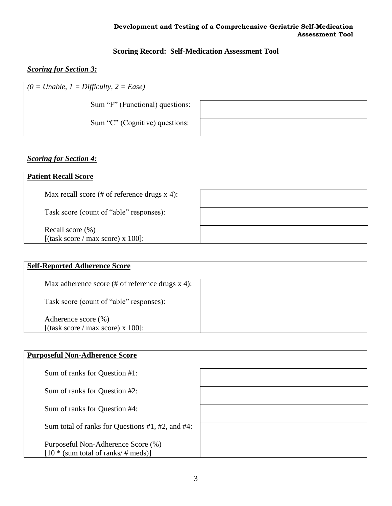### **Development and Testing of a Comprehensive Geriatric Self-Medication Assessment Tool**

# **Scoring Record: Self-Medication Assessment Tool**

# *Scoring for Section 3:*

| $  (0 = Unable, 1 = Difficulty, 2 = Ease)$ |  |
|--------------------------------------------|--|
| Sum "F" (Functional) questions:            |  |
| Sum "C" (Cognitive) questions:             |  |

# *Scoring for Section 4:*

| <b>Patient Recall Score</b>                               |  |
|-----------------------------------------------------------|--|
| Max recall score $(\# \text{ of reference drugs x 4})$ :  |  |
| Task score (count of "able" responses):                   |  |
| Recall score $(\% )$<br>[(task score / max score) x 100]: |  |

| <b>Self-Reported Adherence Score</b>                     |  |
|----------------------------------------------------------|--|
| Max adherence score $(\#$ of reference drugs x 4):       |  |
| Task score (count of "able" responses):                  |  |
| Adherence score (%)<br>[(task score / max score) x 100]: |  |

| <b>Purposeful Non-Adherence Score</b>                                        |  |
|------------------------------------------------------------------------------|--|
| Sum of ranks for Question #1:                                                |  |
| Sum of ranks for Question #2:                                                |  |
| Sum of ranks for Question #4:                                                |  |
| Sum total of ranks for Questions $#1, #2,$ and $#4$ :                        |  |
| Purposeful Non-Adherence Score (%)<br>$[10 * (sum total of ranks / # meds)]$ |  |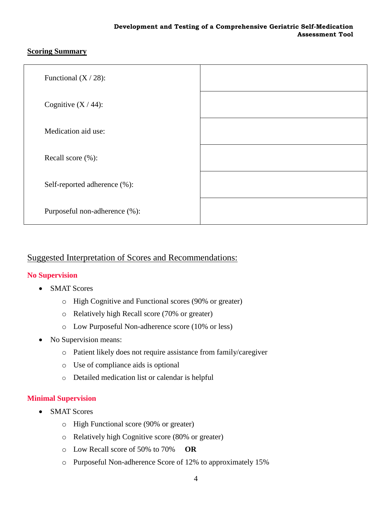## **Scoring Summary**

| Functional $(X / 28)$ :       |  |
|-------------------------------|--|
| Cognitive $(X / 44)$ :        |  |
| Medication aid use:           |  |
| Recall score (%):             |  |
| Self-reported adherence (%):  |  |
| Purposeful non-adherence (%): |  |

# Suggested Interpretation of Scores and Recommendations:

## **No Supervision**

- SMAT Scores
	- o High Cognitive and Functional scores (90% or greater)
	- o Relatively high Recall score (70% or greater)
	- o Low Purposeful Non-adherence score (10% or less)
- No Supervision means:
	- o Patient likely does not require assistance from family/caregiver
	- o Use of compliance aids is optional
	- o Detailed medication list or calendar is helpful

## **Minimal Supervision**

- SMAT Scores
	- o High Functional score (90% or greater)
	- o Relatively high Cognitive score (80% or greater)
	- o Low Recall score of 50% to 70% **OR**
	- o Purposeful Non-adherence Score of 12% to approximately 15%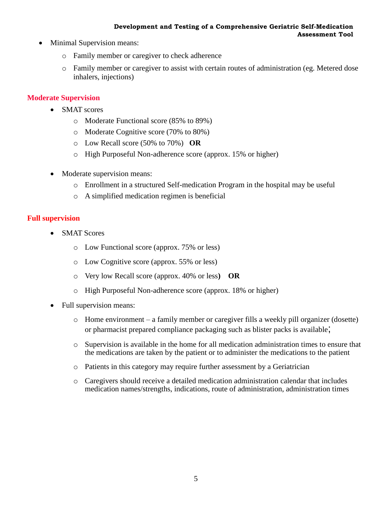#### **Development and Testing of a Comprehensive Geriatric Self-Medication Assessment Tool**

- Minimal Supervision means:
	- o Family member or caregiver to check adherence
	- o Family member or caregiver to assist with certain routes of administration (eg. Metered dose inhalers, injections)

### **Moderate Supervision**

- SMAT scores
	- o Moderate Functional score (85% to 89%)
	- o Moderate Cognitive score (70% to 80%)
	- o Low Recall score (50% to 70%) **OR**
	- o High Purposeful Non-adherence score (approx. 15% or higher)
- Moderate supervision means:
	- o Enrollment in a structured Self-medication Program in the hospital may be useful
	- o A simplified medication regimen is beneficial

## **Full supervision**

- SMAT Scores
	- o Low Functional score (approx. 75% or less)
	- o Low Cognitive score (approx. 55% or less)
	- o Very low Recall score (approx. 40% or less**) OR**
	- o High Purposeful Non-adherence score (approx. 18% or higher)
- Full supervision means:
	- o Home environment a family member or caregiver fills a weekly pill organizer (dosette) or pharmacist prepared compliance packaging such as blister packs is available;
	- o Supervision is available in the home for all medication administration times to ensure that the medications are taken by the patient or to administer the medications to the patient
	- o Patients in this category may require further assessment by a Geriatrician
	- o Caregivers should receive a detailed medication administration calendar that includes medication names/strengths, indications, route of administration, administration times